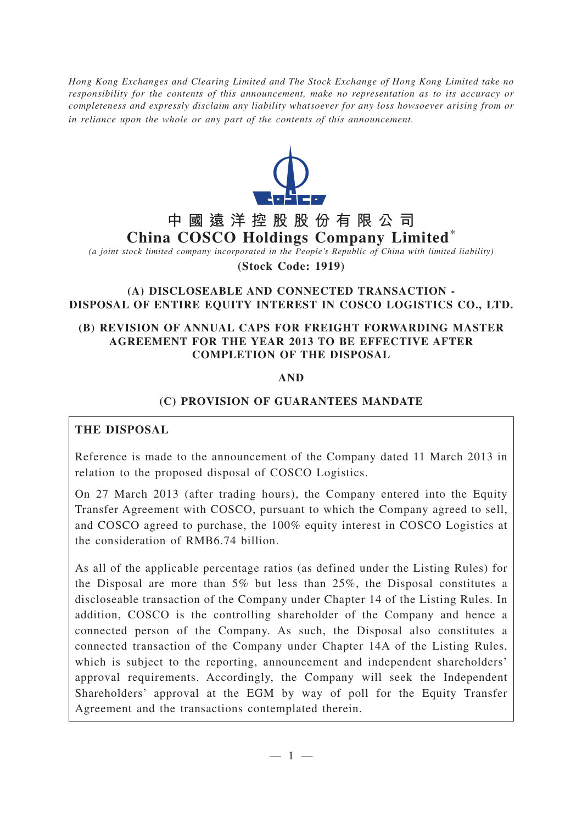*Hong Kong Exchanges and Clearing Limited and The Stock Exchange of Hong Kong Limited take no responsibility for the contents of this announcement, make no representation as to its accuracy or completeness and expressly disclaim any liability whatsoever for any loss howsoever arising from or in reliance upon the whole or any part of the contents of this announcement.*



# **中國遠洋控股股份有限公司 China COSCO Holdings Company Limited**\*

*(a joint stock limited company incorporated in the People's Republic of China with limited liability)*

**(Stock Code: 1919)**

#### **(A) DISCLOSEABLE AND CONNECTED TRANSACTION - DISPOSAL OF ENTIRE EQUITY INTEREST IN COSCO LOGISTICS CO., LTD.**

#### **(B) REVISION OF ANNUAL CAPS FOR FREIGHT FORWARDING MASTER AGREEMENT FOR THE YEAR 2013 TO BE EFFECTIVE AFTER COMPLETION OF THE DISPOSAL**

#### **AND**

#### **(C) PROVISION OF GUARANTEES MANDATE**

### **THE DISPOSAL**

Reference is made to the announcement of the Company dated 11 March 2013 in relation to the proposed disposal of COSCO Logistics.

On 27 March 2013 (after trading hours), the Company entered into the Equity Transfer Agreement with COSCO, pursuant to which the Company agreed to sell, and COSCO agreed to purchase, the 100% equity interest in COSCO Logistics at the consideration of RMB6.74 billion.

As all of the applicable percentage ratios (as defined under the Listing Rules) for the Disposal are more than 5% but less than 25%, the Disposal constitutes a discloseable transaction of the Company under Chapter 14 of the Listing Rules. In addition, COSCO is the controlling shareholder of the Company and hence a connected person of the Company. As such, the Disposal also constitutes a connected transaction of the Company under Chapter 14A of the Listing Rules, which is subject to the reporting, announcement and independent shareholders' approval requirements. Accordingly, the Company will seek the Independent Shareholders' approval at the EGM by way of poll for the Equity Transfer Agreement and the transactions contemplated therein.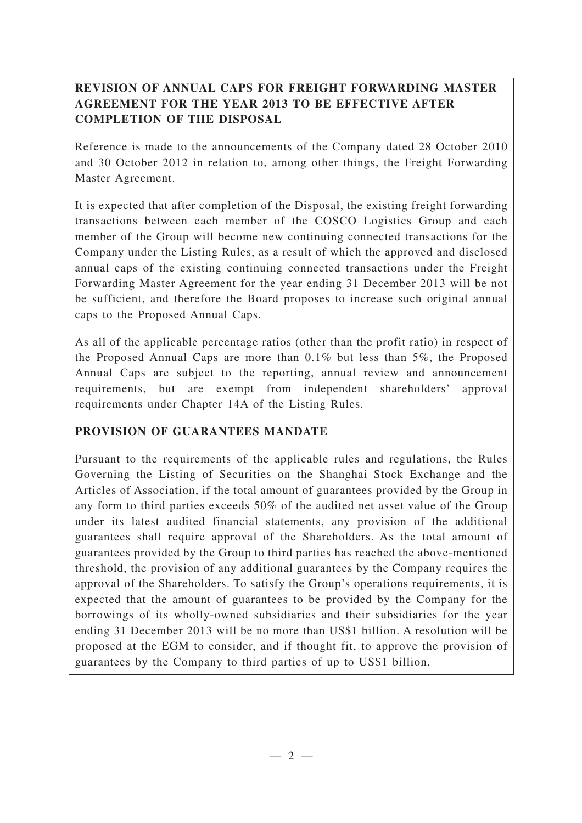## **REVISION OF ANNUAL CAPS FOR FREIGHT FORWARDING MASTER AGREEMENT FOR THE YEAR 2013 TO BE EFFECTIVE AFTER COMPLETION OF THE DISPOSAL**

Reference is made to the announcements of the Company dated 28 October 2010 and 30 October 2012 in relation to, among other things, the Freight Forwarding Master Agreement.

It is expected that after completion of the Disposal, the existing freight forwarding transactions between each member of the COSCO Logistics Group and each member of the Group will become new continuing connected transactions for the Company under the Listing Rules, as a result of which the approved and disclosed annual caps of the existing continuing connected transactions under the Freight Forwarding Master Agreement for the year ending 31 December 2013 will be not be sufficient, and therefore the Board proposes to increase such original annual caps to the Proposed Annual Caps.

As all of the applicable percentage ratios (other than the profit ratio) in respect of the Proposed Annual Caps are more than 0.1% but less than 5%, the Proposed Annual Caps are subject to the reporting, annual review and announcement requirements, but are exempt from independent shareholders' approval requirements under Chapter 14A of the Listing Rules.

### **PROVISION OF GUARANTEES MANDATE**

Pursuant to the requirements of the applicable rules and regulations, the Rules Governing the Listing of Securities on the Shanghai Stock Exchange and the Articles of Association, if the total amount of guarantees provided by the Group in any form to third parties exceeds 50% of the audited net asset value of the Group under its latest audited financial statements, any provision of the additional guarantees shall require approval of the Shareholders. As the total amount of guarantees provided by the Group to third parties has reached the above-mentioned threshold, the provision of any additional guarantees by the Company requires the approval of the Shareholders. To satisfy the Group's operations requirements, it is expected that the amount of guarantees to be provided by the Company for the borrowings of its wholly-owned subsidiaries and their subsidiaries for the year ending 31 December 2013 will be no more than US\$1 billion. A resolution will be proposed at the EGM to consider, and if thought fit, to approve the provision of guarantees by the Company to third parties of up to US\$1 billion.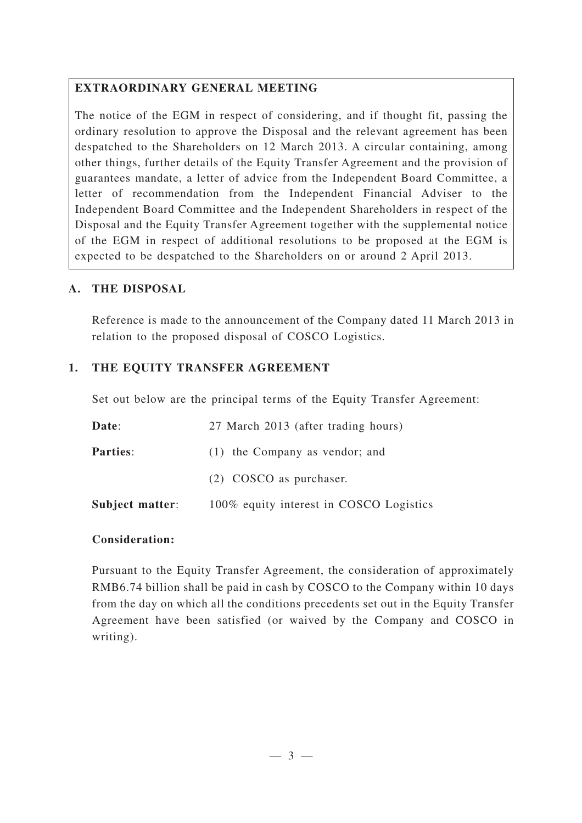## **EXTRAORDINARY GENERAL MEETING**

The notice of the EGM in respect of considering, and if thought fit, passing the ordinary resolution to approve the Disposal and the relevant agreement has been despatched to the Shareholders on 12 March 2013. A circular containing, among other things, further details of the Equity Transfer Agreement and the provision of guarantees mandate, a letter of advice from the Independent Board Committee, a letter of recommendation from the Independent Financial Adviser to the Independent Board Committee and the Independent Shareholders in respect of the Disposal and the Equity Transfer Agreement together with the supplemental notice of the EGM in respect of additional resolutions to be proposed at the EGM is expected to be despatched to the Shareholders on or around 2 April 2013.

## **A. THE DISPOSAL**

Reference is made to the announcement of the Company dated 11 March 2013 in relation to the proposed disposal of COSCO Logistics.

## **1. THE EQUITY TRANSFER AGREEMENT**

Set out below are the principal terms of the Equity Transfer Agreement:

| Date:           | 27 March 2013 (after trading hours)     |
|-----------------|-----------------------------------------|
| <b>Parties:</b> | (1) the Company as vendor; and          |
|                 | (2) COSCO as purchaser.                 |
| Subject matter: | 100% equity interest in COSCO Logistics |

### **Consideration:**

Pursuant to the Equity Transfer Agreement, the consideration of approximately RMB6.74 billion shall be paid in cash by COSCO to the Company within 10 days from the day on which all the conditions precedents set out in the Equity Transfer Agreement have been satisfied (or waived by the Company and COSCO in writing).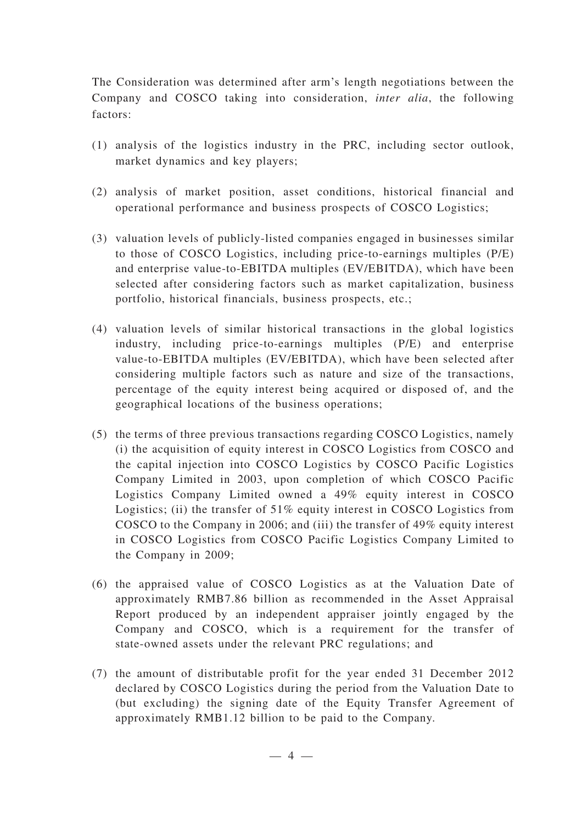The Consideration was determined after arm's length negotiations between the Company and COSCO taking into consideration, *inter alia*, the following factors:

- (1) analysis of the logistics industry in the PRC, including sector outlook, market dynamics and key players;
- (2) analysis of market position, asset conditions, historical financial and operational performance and business prospects of COSCO Logistics;
- (3) valuation levels of publicly-listed companies engaged in businesses similar to those of COSCO Logistics, including price-to-earnings multiples (P/E) and enterprise value-to-EBITDA multiples (EV/EBITDA), which have been selected after considering factors such as market capitalization, business portfolio, historical financials, business prospects, etc.;
- (4) valuation levels of similar historical transactions in the global logistics industry, including price-to-earnings multiples (P/E) and enterprise value-to-EBITDA multiples (EV/EBITDA), which have been selected after considering multiple factors such as nature and size of the transactions, percentage of the equity interest being acquired or disposed of, and the geographical locations of the business operations;
- (5) the terms of three previous transactions regarding COSCO Logistics, namely (i) the acquisition of equity interest in COSCO Logistics from COSCO and the capital injection into COSCO Logistics by COSCO Pacific Logistics Company Limited in 2003, upon completion of which COSCO Pacific Logistics Company Limited owned a 49% equity interest in COSCO Logistics; (ii) the transfer of 51% equity interest in COSCO Logistics from COSCO to the Company in 2006; and (iii) the transfer of 49% equity interest in COSCO Logistics from COSCO Pacific Logistics Company Limited to the Company in 2009;
- (6) the appraised value of COSCO Logistics as at the Valuation Date of approximately RMB7.86 billion as recommended in the Asset Appraisal Report produced by an independent appraiser jointly engaged by the Company and COSCO, which is a requirement for the transfer of state-owned assets under the relevant PRC regulations; and
- (7) the amount of distributable profit for the year ended 31 December 2012 declared by COSCO Logistics during the period from the Valuation Date to (but excluding) the signing date of the Equity Transfer Agreement of approximately RMB1.12 billion to be paid to the Company.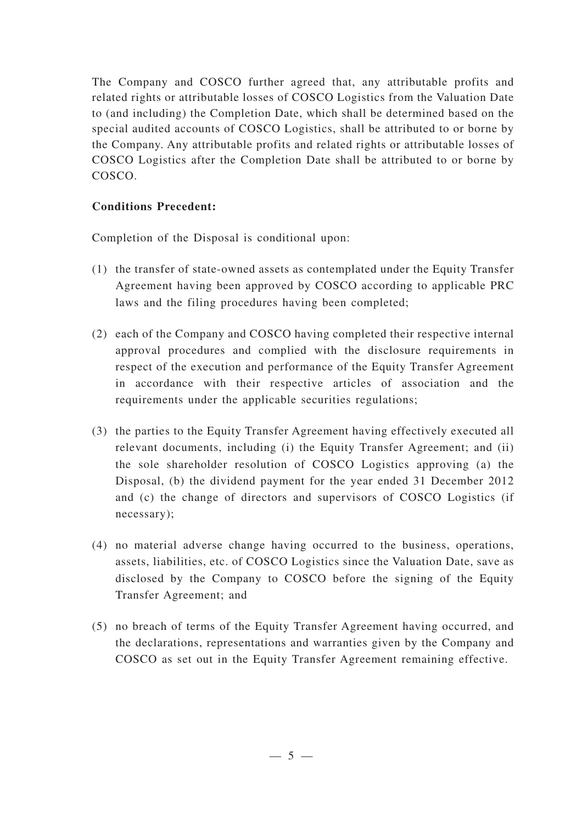The Company and COSCO further agreed that, any attributable profits and related rights or attributable losses of COSCO Logistics from the Valuation Date to (and including) the Completion Date, which shall be determined based on the special audited accounts of COSCO Logistics, shall be attributed to or borne by the Company. Any attributable profits and related rights or attributable losses of COSCO Logistics after the Completion Date shall be attributed to or borne by COSCO.

## **Conditions Precedent:**

Completion of the Disposal is conditional upon:

- (1) the transfer of state-owned assets as contemplated under the Equity Transfer Agreement having been approved by COSCO according to applicable PRC laws and the filing procedures having been completed;
- (2) each of the Company and COSCO having completed their respective internal approval procedures and complied with the disclosure requirements in respect of the execution and performance of the Equity Transfer Agreement in accordance with their respective articles of association and the requirements under the applicable securities regulations;
- (3) the parties to the Equity Transfer Agreement having effectively executed all relevant documents, including (i) the Equity Transfer Agreement; and (ii) the sole shareholder resolution of COSCO Logistics approving (a) the Disposal, (b) the dividend payment for the year ended 31 December 2012 and (c) the change of directors and supervisors of COSCO Logistics (if necessary);
- (4) no material adverse change having occurred to the business, operations, assets, liabilities, etc. of COSCO Logistics since the Valuation Date, save as disclosed by the Company to COSCO before the signing of the Equity Transfer Agreement; and
- (5) no breach of terms of the Equity Transfer Agreement having occurred, and the declarations, representations and warranties given by the Company and COSCO as set out in the Equity Transfer Agreement remaining effective.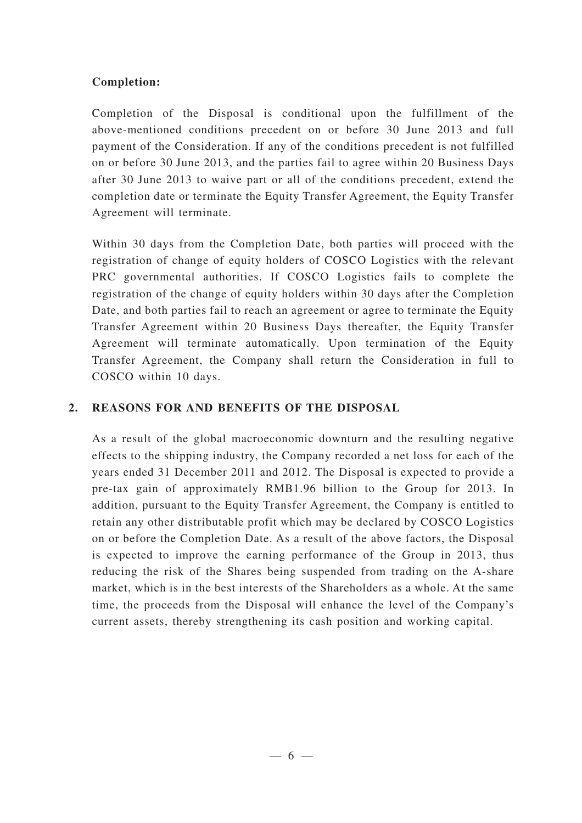### **Completion:**

Completion of the Disposal is conditional upon the fulfillment of the above-mentioned conditions precedent on or before 30 June 2013 and full payment of the Consideration. If any of the conditions precedent is not fulfilled on or before 30 June 2013, and the parties fail to agree within 20 Business Days after 30 June 2013 to waive part or all of the conditions precedent, extend the completion date or terminate the Equity Transfer Agreement, the Equity Transfer Agreement will terminate.

Within 30 days from the Completion Date, both parties will proceed with the registration of change of equity holders of COSCO Logistics with the relevant PRC governmental authorities. If COSCO Logistics fails to complete the registration of the change of equity holders within 30 days after the Completion Date, and both parties fail to reach an agreement or agree to terminate the Equity Transfer Agreement within 20 Business Days thereafter, the Equity Transfer Agreement will terminate automatically. Upon termination of the Equity Transfer Agreement, the Company shall return the Consideration in full to COSCO within 10 days.

#### **2. REASONS FOR AND BENEFITS OF THE DISPOSAL**

As a result of the global macroeconomic downturn and the resulting negative effects to the shipping industry, the Company recorded a net loss for each of the years ended 31 December 2011 and 2012. The Disposal is expected to provide a pre-tax gain of approximately RMB1.96 billion to the Group for 2013. In addition, pursuant to the Equity Transfer Agreement, the Company is entitled to retain any other distributable profit which may be declared by COSCO Logistics on or before the Completion Date. As a result of the above factors, the Disposal is expected to improve the earning performance of the Group in 2013, thus reducing the risk of the Shares being suspended from trading on the A-share market, which is in the best interests of the Shareholders as a whole. At the same time, the proceeds from the Disposal will enhance the level of the Company's current assets, thereby strengthening its cash position and working capital.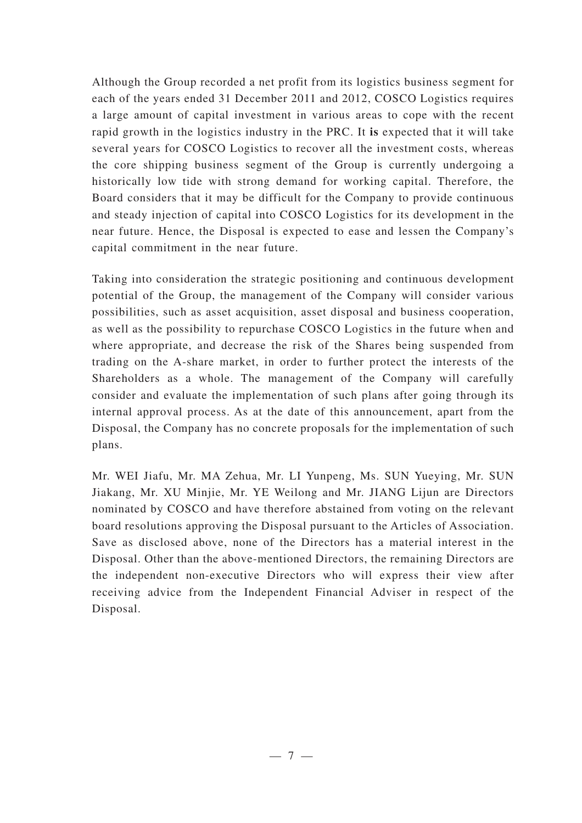Although the Group recorded a net profit from its logistics business segment for each of the years ended 31 December 2011 and 2012, COSCO Logistics requires a large amount of capital investment in various areas to cope with the recent rapid growth in the logistics industry in the PRC. It **is** expected that it will take several years for COSCO Logistics to recover all the investment costs, whereas the core shipping business segment of the Group is currently undergoing a historically low tide with strong demand for working capital. Therefore, the Board considers that it may be difficult for the Company to provide continuous and steady injection of capital into COSCO Logistics for its development in the near future. Hence, the Disposal is expected to ease and lessen the Company's capital commitment in the near future.

Taking into consideration the strategic positioning and continuous development potential of the Group, the management of the Company will consider various possibilities, such as asset acquisition, asset disposal and business cooperation, as well as the possibility to repurchase COSCO Logistics in the future when and where appropriate, and decrease the risk of the Shares being suspended from trading on the A-share market, in order to further protect the interests of the Shareholders as a whole. The management of the Company will carefully consider and evaluate the implementation of such plans after going through its internal approval process. As at the date of this announcement, apart from the Disposal, the Company has no concrete proposals for the implementation of such plans.

Mr. WEI Jiafu, Mr. MA Zehua, Mr. LI Yunpeng, Ms. SUN Yueying, Mr. SUN Jiakang, Mr. XU Minjie, Mr. YE Weilong and Mr. JIANG Lijun are Directors nominated by COSCO and have therefore abstained from voting on the relevant board resolutions approving the Disposal pursuant to the Articles of Association. Save as disclosed above, none of the Directors has a material interest in the Disposal. Other than the above-mentioned Directors, the remaining Directors are the independent non-executive Directors who will express their view after receiving advice from the Independent Financial Adviser in respect of the Disposal.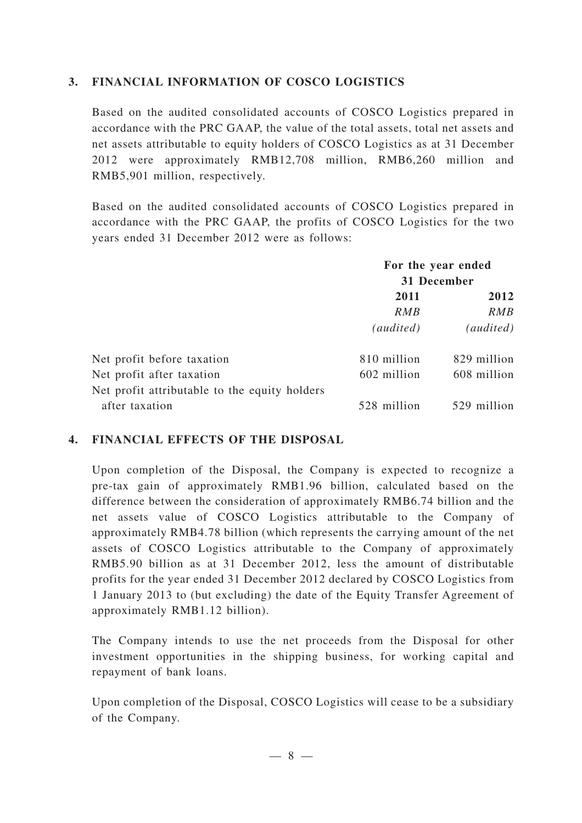#### **3. FINANCIAL INFORMATION OF COSCO LOGISTICS**

Based on the audited consolidated accounts of COSCO Logistics prepared in accordance with the PRC GAAP, the value of the total assets, total net assets and net assets attributable to equity holders of COSCO Logistics as at 31 December 2012 were approximately RMB12,708 million, RMB6,260 million and RMB5,901 million, respectively.

Based on the audited consolidated accounts of COSCO Logistics prepared in accordance with the PRC GAAP, the profits of COSCO Logistics for the two years ended 31 December 2012 were as follows:

|                                               | For the year ended<br>31 December |             |
|-----------------------------------------------|-----------------------------------|-------------|
|                                               |                                   |             |
|                                               | 2011                              | 2012        |
|                                               | <i>RMB</i>                        | <i>RMB</i>  |
|                                               | (audited)                         | (audited)   |
| Net profit before taxation                    | 810 million                       | 829 million |
| Net profit after taxation                     | 602 million                       | 608 million |
| Net profit attributable to the equity holders |                                   |             |
| after taxation                                | 528 million                       | 529 million |

#### **4. FINANCIAL EFFECTS OF THE DISPOSAL**

Upon completion of the Disposal, the Company is expected to recognize a pre-tax gain of approximately RMB1.96 billion, calculated based on the difference between the consideration of approximately RMB6.74 billion and the net assets value of COSCO Logistics attributable to the Company of approximately RMB4.78 billion (which represents the carrying amount of the net assets of COSCO Logistics attributable to the Company of approximately RMB5.90 billion as at 31 December 2012, less the amount of distributable profits for the year ended 31 December 2012 declared by COSCO Logistics from 1 January 2013 to (but excluding) the date of the Equity Transfer Agreement of approximately RMB1.12 billion).

The Company intends to use the net proceeds from the Disposal for other investment opportunities in the shipping business, for working capital and repayment of bank loans.

Upon completion of the Disposal, COSCO Logistics will cease to be a subsidiary of the Company.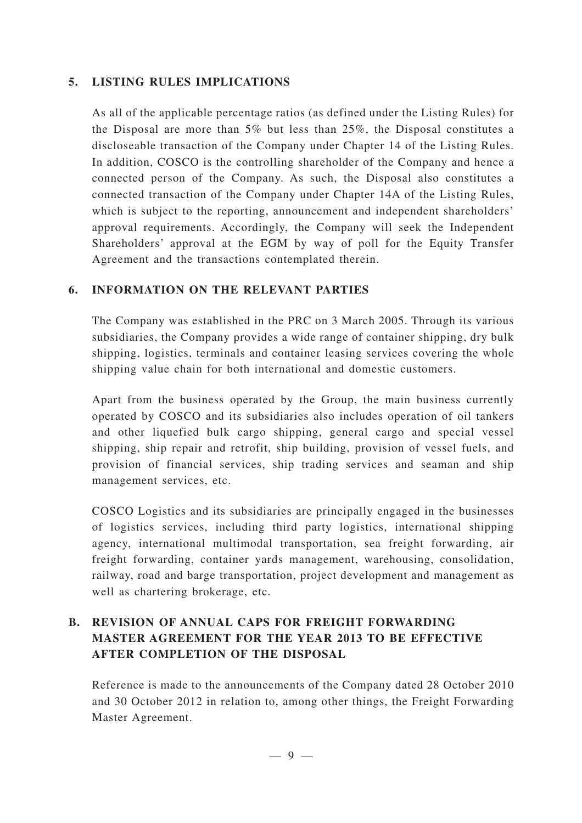#### **5. LISTING RULES IMPLICATIONS**

As all of the applicable percentage ratios (as defined under the Listing Rules) for the Disposal are more than 5% but less than 25%, the Disposal constitutes a discloseable transaction of the Company under Chapter 14 of the Listing Rules. In addition, COSCO is the controlling shareholder of the Company and hence a connected person of the Company. As such, the Disposal also constitutes a connected transaction of the Company under Chapter 14A of the Listing Rules, which is subject to the reporting, announcement and independent shareholders' approval requirements. Accordingly, the Company will seek the Independent Shareholders' approval at the EGM by way of poll for the Equity Transfer Agreement and the transactions contemplated therein.

### **6. INFORMATION ON THE RELEVANT PARTIES**

The Company was established in the PRC on 3 March 2005. Through its various subsidiaries, the Company provides a wide range of container shipping, dry bulk shipping, logistics, terminals and container leasing services covering the whole shipping value chain for both international and domestic customers.

Apart from the business operated by the Group, the main business currently operated by COSCO and its subsidiaries also includes operation of oil tankers and other liquefied bulk cargo shipping, general cargo and special vessel shipping, ship repair and retrofit, ship building, provision of vessel fuels, and provision of financial services, ship trading services and seaman and ship management services, etc.

COSCO Logistics and its subsidiaries are principally engaged in the businesses of logistics services, including third party logistics, international shipping agency, international multimodal transportation, sea freight forwarding, air freight forwarding, container yards management, warehousing, consolidation, railway, road and barge transportation, project development and management as well as chartering brokerage, etc.

## **B. REVISION OF ANNUAL CAPS FOR FREIGHT FORWARDING MASTER AGREEMENT FOR THE YEAR 2013 TO BE EFFECTIVE AFTER COMPLETION OF THE DISPOSAL**

Reference is made to the announcements of the Company dated 28 October 2010 and 30 October 2012 in relation to, among other things, the Freight Forwarding Master Agreement.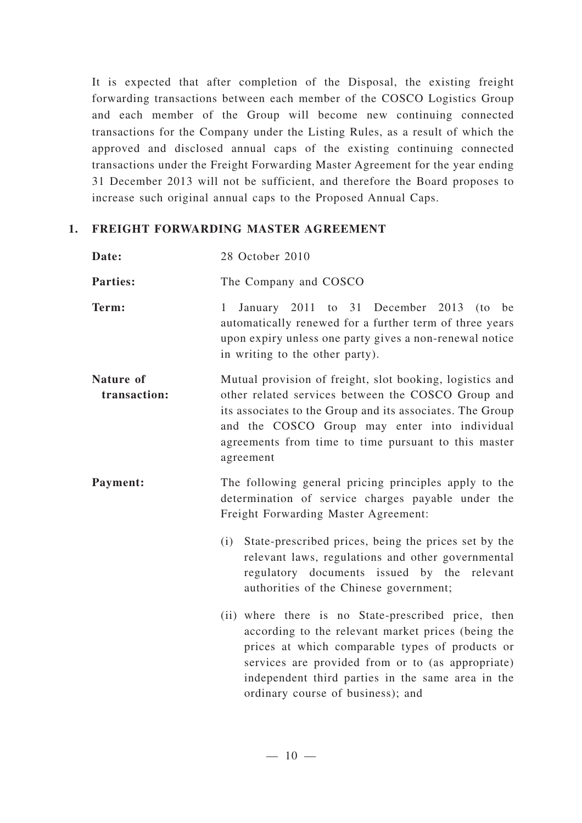It is expected that after completion of the Disposal, the existing freight forwarding transactions between each member of the COSCO Logistics Group and each member of the Group will become new continuing connected transactions for the Company under the Listing Rules, as a result of which the approved and disclosed annual caps of the existing continuing connected transactions under the Freight Forwarding Master Agreement for the year ending 31 December 2013 will not be sufficient, and therefore the Board proposes to increase such original annual caps to the Proposed Annual Caps.

### **1. FREIGHT FORWARDING MASTER AGREEMENT**

| Date: | 28 October 2010 |
|-------|-----------------|
|       |                 |

Parties: The Company and COSCO

- **Term:** 1 January 2011 to 31 December 2013 (to be automatically renewed for a further term of three years upon expiry unless one party gives a non-renewal notice in writing to the other party).
- **Nature of transaction:** Mutual provision of freight, slot booking, logistics and other related services between the COSCO Group and its associates to the Group and its associates. The Group and the COSCO Group may enter into individual agreements from time to time pursuant to this master agreement
- **Payment:** The following general pricing principles apply to the determination of service charges payable under the Freight Forwarding Master Agreement:
	- (i) State-prescribed prices, being the prices set by the relevant laws, regulations and other governmental regulatory documents issued by the relevant authorities of the Chinese government;
	- (ii) where there is no State-prescribed price, then according to the relevant market prices (being the prices at which comparable types of products or services are provided from or to (as appropriate) independent third parties in the same area in the ordinary course of business); and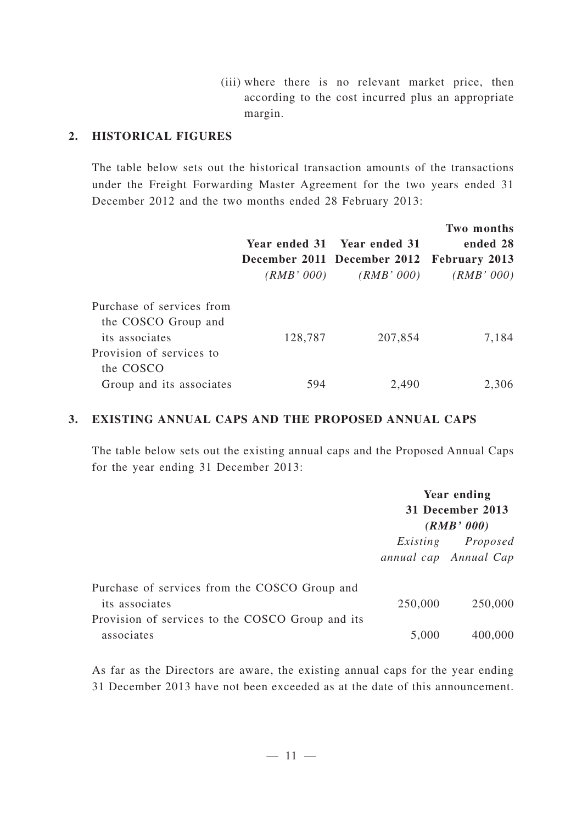(iii) where there is no relevant market price, then according to the cost incurred plus an appropriate margin.

#### **2. HISTORICAL FIGURES**

The table below sets out the historical transaction amounts of the transactions under the Freight Forwarding Master Agreement for the two years ended 31 December 2012 and the two months ended 28 February 2013:

|                           |            |                                           | Two months |
|---------------------------|------------|-------------------------------------------|------------|
|                           |            | Year ended 31 Year ended 31               | ended 28   |
|                           |            | December 2011 December 2012 February 2013 |            |
|                           | (RMB' 000) | (RMB' 000)                                | (RMB' 000) |
| Purchase of services from |            |                                           |            |
| the COSCO Group and       |            |                                           |            |
| its associates            | 128,787    | 207,854                                   | 7,184      |
| Provision of services to  |            |                                           |            |
| the COSCO                 |            |                                           |            |
| Group and its associates  | 594        | 2,490                                     | 2.306      |

#### **3. EXISTING ANNUAL CAPS AND THE PROPOSED ANNUAL CAPS**

The table below sets out the existing annual caps and the Proposed Annual Caps for the year ending 31 December 2013:

|                                                                 | <b>Year ending</b><br>31 December 2013<br>(RMB' 000) |                                            |
|-----------------------------------------------------------------|------------------------------------------------------|--------------------------------------------|
|                                                                 |                                                      | Existing Proposed<br>annual cap Annual Cap |
| Purchase of services from the COSCO Group and<br>its associates | 250,000                                              | 250,000                                    |
| Provision of services to the COSCO Group and its<br>associates  | 5,000                                                | 400,000                                    |

As far as the Directors are aware, the existing annual caps for the year ending 31 December 2013 have not been exceeded as at the date of this announcement.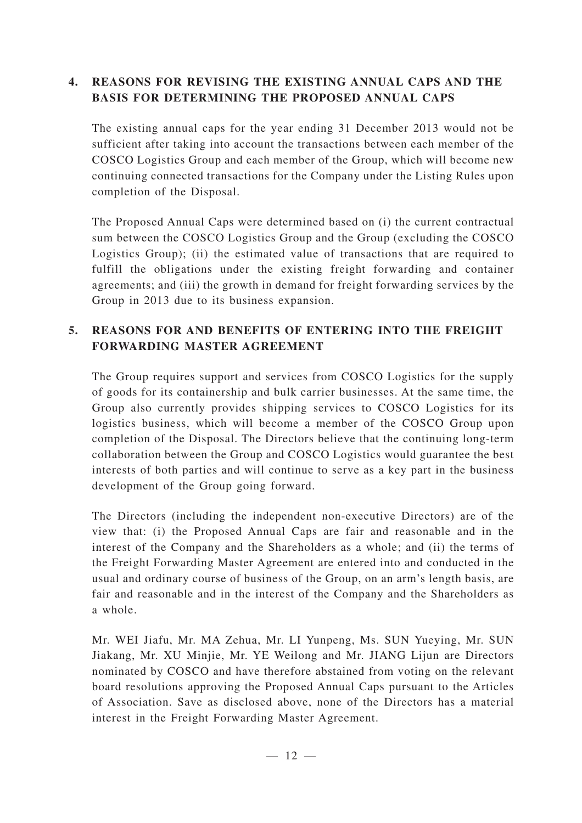## **4. REASONS FOR REVISING THE EXISTING ANNUAL CAPS AND THE BASIS FOR DETERMINING THE PROPOSED ANNUAL CAPS**

The existing annual caps for the year ending 31 December 2013 would not be sufficient after taking into account the transactions between each member of the COSCO Logistics Group and each member of the Group, which will become new continuing connected transactions for the Company under the Listing Rules upon completion of the Disposal.

The Proposed Annual Caps were determined based on (i) the current contractual sum between the COSCO Logistics Group and the Group (excluding the COSCO Logistics Group); (ii) the estimated value of transactions that are required to fulfill the obligations under the existing freight forwarding and container agreements; and (iii) the growth in demand for freight forwarding services by the Group in 2013 due to its business expansion.

## **5. REASONS FOR AND BENEFITS OF ENTERING INTO THE FREIGHT FORWARDING MASTER AGREEMENT**

The Group requires support and services from COSCO Logistics for the supply of goods for its containership and bulk carrier businesses. At the same time, the Group also currently provides shipping services to COSCO Logistics for its logistics business, which will become a member of the COSCO Group upon completion of the Disposal. The Directors believe that the continuing long-term collaboration between the Group and COSCO Logistics would guarantee the best interests of both parties and will continue to serve as a key part in the business development of the Group going forward.

The Directors (including the independent non-executive Directors) are of the view that: (i) the Proposed Annual Caps are fair and reasonable and in the interest of the Company and the Shareholders as a whole; and (ii) the terms of the Freight Forwarding Master Agreement are entered into and conducted in the usual and ordinary course of business of the Group, on an arm's length basis, are fair and reasonable and in the interest of the Company and the Shareholders as a whole.

Mr. WEI Jiafu, Mr. MA Zehua, Mr. LI Yunpeng, Ms. SUN Yueying, Mr. SUN Jiakang, Mr. XU Minjie, Mr. YE Weilong and Mr. JIANG Lijun are Directors nominated by COSCO and have therefore abstained from voting on the relevant board resolutions approving the Proposed Annual Caps pursuant to the Articles of Association. Save as disclosed above, none of the Directors has a material interest in the Freight Forwarding Master Agreement.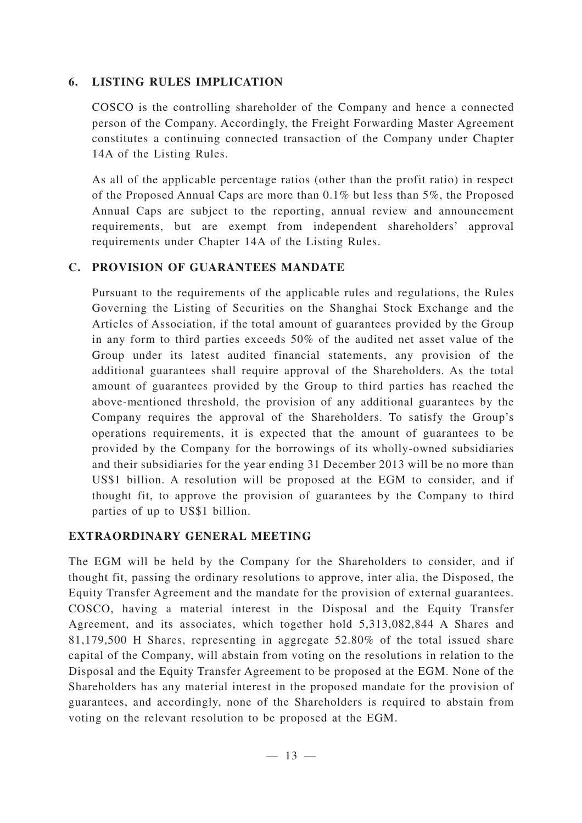#### **6. LISTING RULES IMPLICATION**

COSCO is the controlling shareholder of the Company and hence a connected person of the Company. Accordingly, the Freight Forwarding Master Agreement constitutes a continuing connected transaction of the Company under Chapter 14A of the Listing Rules.

As all of the applicable percentage ratios (other than the profit ratio) in respect of the Proposed Annual Caps are more than 0.1% but less than 5%, the Proposed Annual Caps are subject to the reporting, annual review and announcement requirements, but are exempt from independent shareholders' approval requirements under Chapter 14A of the Listing Rules.

### **C. PROVISION OF GUARANTEES MANDATE**

Pursuant to the requirements of the applicable rules and regulations, the Rules Governing the Listing of Securities on the Shanghai Stock Exchange and the Articles of Association, if the total amount of guarantees provided by the Group in any form to third parties exceeds 50% of the audited net asset value of the Group under its latest audited financial statements, any provision of the additional guarantees shall require approval of the Shareholders. As the total amount of guarantees provided by the Group to third parties has reached the above-mentioned threshold, the provision of any additional guarantees by the Company requires the approval of the Shareholders. To satisfy the Group's operations requirements, it is expected that the amount of guarantees to be provided by the Company for the borrowings of its wholly-owned subsidiaries and their subsidiaries for the year ending 31 December 2013 will be no more than US\$1 billion. A resolution will be proposed at the EGM to consider, and if thought fit, to approve the provision of guarantees by the Company to third parties of up to US\$1 billion.

### **EXTRAORDINARY GENERAL MEETING**

The EGM will be held by the Company for the Shareholders to consider, and if thought fit, passing the ordinary resolutions to approve, inter alia, the Disposed, the Equity Transfer Agreement and the mandate for the provision of external guarantees. COSCO, having a material interest in the Disposal and the Equity Transfer Agreement, and its associates, which together hold 5,313,082,844 A Shares and 81,179,500 H Shares, representing in aggregate 52.80% of the total issued share capital of the Company, will abstain from voting on the resolutions in relation to the Disposal and the Equity Transfer Agreement to be proposed at the EGM. None of the Shareholders has any material interest in the proposed mandate for the provision of guarantees, and accordingly, none of the Shareholders is required to abstain from voting on the relevant resolution to be proposed at the EGM.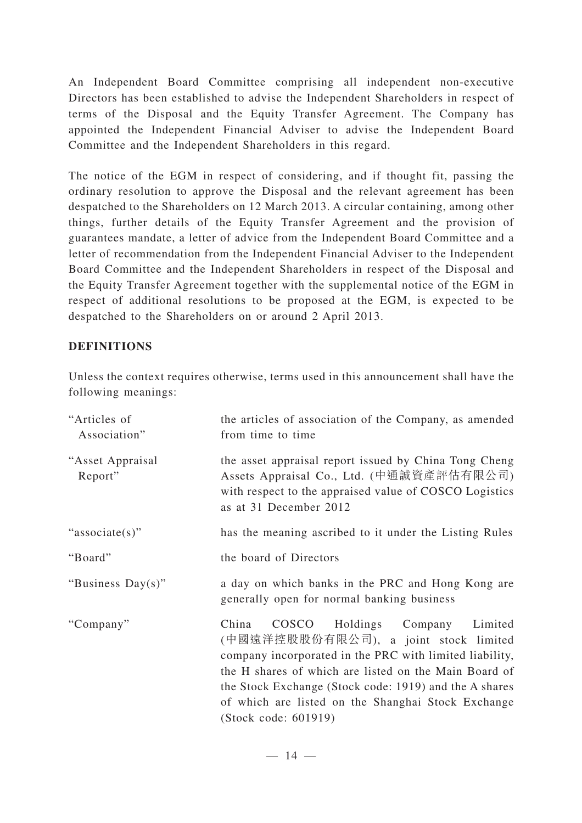An Independent Board Committee comprising all independent non-executive Directors has been established to advise the Independent Shareholders in respect of terms of the Disposal and the Equity Transfer Agreement. The Company has appointed the Independent Financial Adviser to advise the Independent Board Committee and the Independent Shareholders in this regard.

The notice of the EGM in respect of considering, and if thought fit, passing the ordinary resolution to approve the Disposal and the relevant agreement has been despatched to the Shareholders on 12 March 2013. A circular containing, among other things, further details of the Equity Transfer Agreement and the provision of guarantees mandate, a letter of advice from the Independent Board Committee and a letter of recommendation from the Independent Financial Adviser to the Independent Board Committee and the Independent Shareholders in respect of the Disposal and the Equity Transfer Agreement together with the supplemental notice of the EGM in respect of additional resolutions to be proposed at the EGM, is expected to be despatched to the Shareholders on or around 2 April 2013.

## **DEFINITIONS**

Unless the context requires otherwise, terms used in this announcement shall have the following meanings:

| "Articles of<br>Association" | the articles of association of the Company, as amended<br>from time to time                                                                                                                                                                                                                                                                  |
|------------------------------|----------------------------------------------------------------------------------------------------------------------------------------------------------------------------------------------------------------------------------------------------------------------------------------------------------------------------------------------|
| "Asset Appraisal<br>Report"  | the asset appraisal report issued by China Tong Cheng<br>Assets Appraisal Co., Ltd. (中通誠資產評估有限公司)<br>with respect to the appraised value of COSCO Logistics<br>as at 31 December 2012                                                                                                                                                        |
| "associate(s)"               | has the meaning ascribed to it under the Listing Rules                                                                                                                                                                                                                                                                                       |
| "Board"                      | the board of Directors                                                                                                                                                                                                                                                                                                                       |
| "Business Day(s)"            | a day on which banks in the PRC and Hong Kong are<br>generally open for normal banking business                                                                                                                                                                                                                                              |
| "Company"                    | COSCO Holdings Company Limited<br>China<br>(中國遠洋控股股份有限公司), a joint stock limited<br>company incorporated in the PRC with limited liability,<br>the H shares of which are listed on the Main Board of<br>the Stock Exchange (Stock code: 1919) and the A shares<br>of which are listed on the Shanghai Stock Exchange<br>(Stock code: 601919) |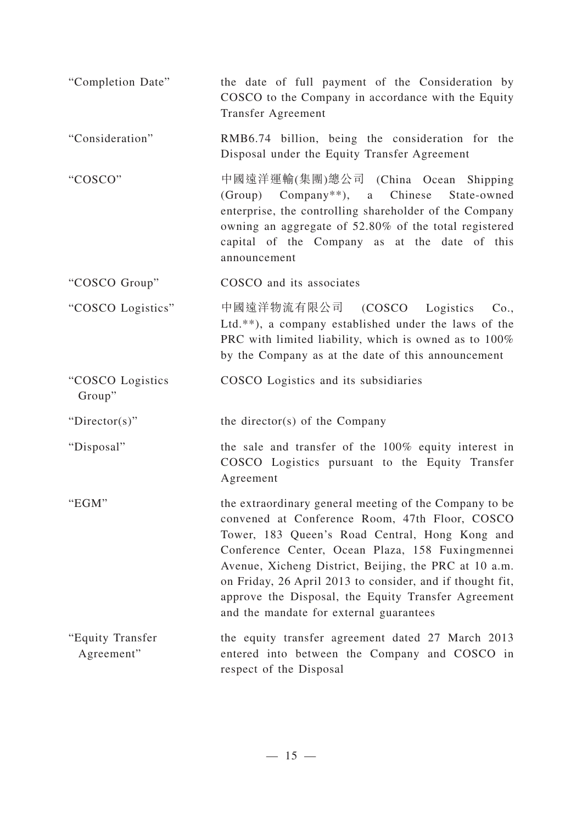| "Completion Date"              | the date of full payment of the Consideration by<br>COSCO to the Company in accordance with the Equity<br>Transfer Agreement                                                                                                                                                                                                                                                                                                           |
|--------------------------------|----------------------------------------------------------------------------------------------------------------------------------------------------------------------------------------------------------------------------------------------------------------------------------------------------------------------------------------------------------------------------------------------------------------------------------------|
| "Consideration"                | RMB6.74 billion, being the consideration for the<br>Disposal under the Equity Transfer Agreement                                                                                                                                                                                                                                                                                                                                       |
| "COSCO"                        | 中國遠洋運輸(集團)總公司 (China Ocean Shipping<br>$(Group)$ Company <sup>**</sup> ), a Chinese<br>State-owned<br>enterprise, the controlling shareholder of the Company<br>owning an aggregate of 52.80% of the total registered<br>capital of the Company as at the date of this<br>announcement                                                                                                                                                 |
| "COSCO Group"                  | COSCO and its associates                                                                                                                                                                                                                                                                                                                                                                                                               |
| "COSCO Logistics"              | 中國遠洋物流有限公司 (COSCO Logistics Co.,<br>Ltd.**), a company established under the laws of the<br>PRC with limited liability, which is owned as to 100%<br>by the Company as at the date of this announcement                                                                                                                                                                                                                                |
| "COSCO Logistics<br>Group"     | COSCO Logistics and its subsidiaries                                                                                                                                                                                                                                                                                                                                                                                                   |
| "Director(s)"                  | the director(s) of the Company                                                                                                                                                                                                                                                                                                                                                                                                         |
| "Disposal"                     | the sale and transfer of the 100% equity interest in<br>COSCO Logistics pursuant to the Equity Transfer<br>Agreement                                                                                                                                                                                                                                                                                                                   |
| "EGM"                          | the extraordinary general meeting of the Company to be<br>convened at Conference Room, 47th Floor, COSCO<br>Tower, 183 Queen's Road Central, Hong Kong and<br>Conference Center, Ocean Plaza, 158 Fuxingmennei<br>Avenue, Xicheng District, Beijing, the PRC at 10 a.m.<br>on Friday, 26 April 2013 to consider, and if thought fit,<br>approve the Disposal, the Equity Transfer Agreement<br>and the mandate for external guarantees |
| "Equity Transfer<br>Agreement" | the equity transfer agreement dated 27 March 2013<br>entered into between the Company and COSCO in<br>respect of the Disposal                                                                                                                                                                                                                                                                                                          |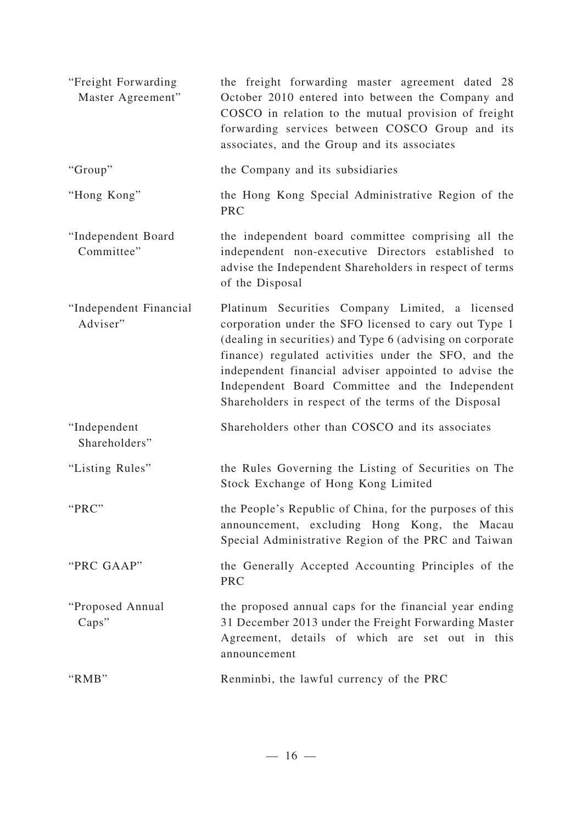| "Freight Forwarding"<br>Master Agreement" | the freight forwarding master agreement dated 28<br>October 2010 entered into between the Company and<br>COSCO in relation to the mutual provision of freight<br>forwarding services between COSCO Group and its<br>associates, and the Group and its associates                                                                                                                                  |
|-------------------------------------------|---------------------------------------------------------------------------------------------------------------------------------------------------------------------------------------------------------------------------------------------------------------------------------------------------------------------------------------------------------------------------------------------------|
| "Group"                                   | the Company and its subsidiaries                                                                                                                                                                                                                                                                                                                                                                  |
| "Hong Kong"                               | the Hong Kong Special Administrative Region of the<br><b>PRC</b>                                                                                                                                                                                                                                                                                                                                  |
| "Independent Board<br>Committee"          | the independent board committee comprising all the<br>independent non-executive Directors established to<br>advise the Independent Shareholders in respect of terms<br>of the Disposal                                                                                                                                                                                                            |
| "Independent Financial<br>Adviser"        | Platinum Securities Company Limited, a licensed<br>corporation under the SFO licensed to cary out Type 1<br>(dealing in securities) and Type 6 (advising on corporate<br>finance) regulated activities under the SFO, and the<br>independent financial adviser appointed to advise the<br>Independent Board Committee and the Independent<br>Shareholders in respect of the terms of the Disposal |
| "Independent<br>Shareholders"             | Shareholders other than COSCO and its associates                                                                                                                                                                                                                                                                                                                                                  |
| "Listing Rules"                           | the Rules Governing the Listing of Securities on The<br>Stock Exchange of Hong Kong Limited                                                                                                                                                                                                                                                                                                       |
| "PRC"                                     | the People's Republic of China, for the purposes of this<br>announcement, excluding Hong Kong, the Macau<br>Special Administrative Region of the PRC and Taiwan                                                                                                                                                                                                                                   |
| "PRC GAAP"                                | the Generally Accepted Accounting Principles of the<br><b>PRC</b>                                                                                                                                                                                                                                                                                                                                 |
| "Proposed Annual<br>Caps"                 | the proposed annual caps for the financial year ending<br>31 December 2013 under the Freight Forwarding Master<br>Agreement, details of which are set out in this<br>announcement                                                                                                                                                                                                                 |
| "RMB"                                     | Renminbi, the lawful currency of the PRC                                                                                                                                                                                                                                                                                                                                                          |